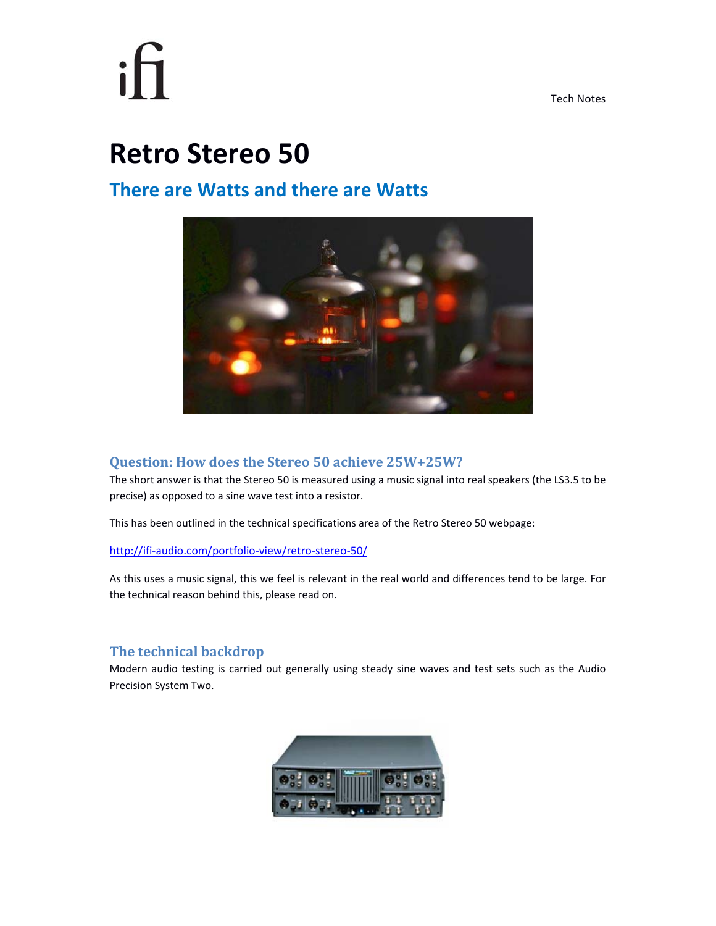# i

# **Retro Stereo 50**

# **There are Watts and there are Watts**



# **Question: How does the Stereo 50 achieve 25W+25W?**

The short answer is that the Stereo 50 is measured using a music signal into real speakers (the LS3.5 to be precise) as opposed to a sine wave test into a resistor.

This has been outlined in the technical specifications area of the Retro Stereo 50 webpage:

# http://ifi-audio.com/portfolio-view/retro-stereo-50/

As this uses a music signal, this we feel is relevant in the real world and differences tend to be large. For the technical reason behind this, please read on.

# **The technical backdrop**

Modern audio testing is carried out generally using steady sine waves and test sets such as the Audio Precision System Two.

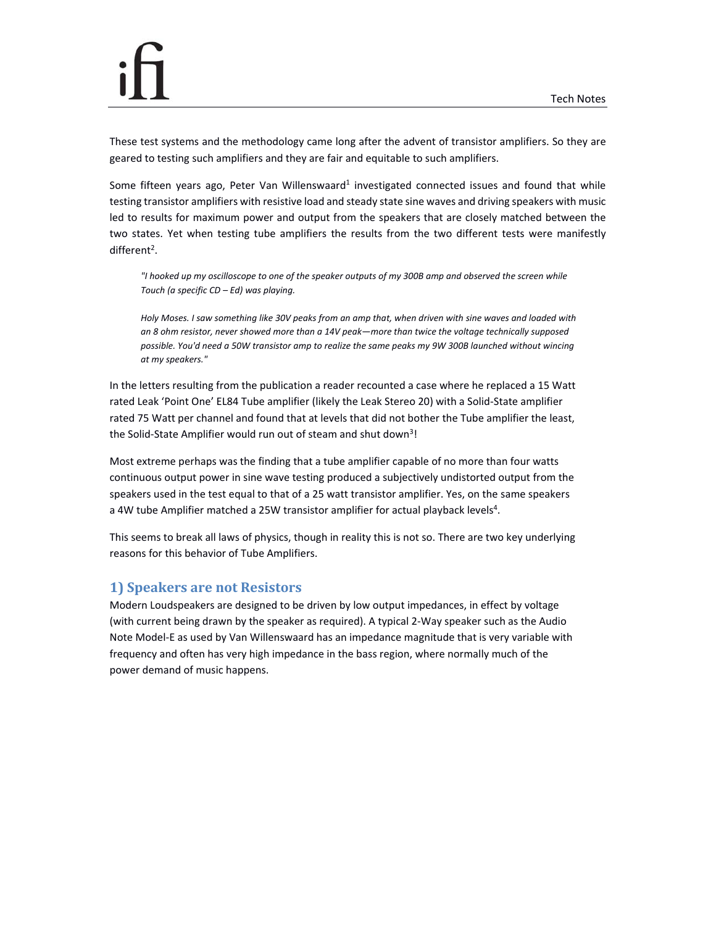These test systems and the methodology came long after the advent of transistor amplifiers. So they are geared to testing such amplifiers and they are fair and equitable to such amplifiers.

Some fifteen years ago, Peter Van Willenswaard<sup>1</sup> investigated connected issues and found that while testing transistor amplifiers with resistive load and steady state sine waves and driving speakers with music led to results for maximum power and output from the speakers that are closely matched between the two states. Yet when testing tube amplifiers the results from the two different tests were manifestly different<sup>2</sup>.

"I hooked up my oscilloscope to one of the speaker outputs of my 300B amp and observed the screen while *Touch (a specific CD – Ed) was playing.* 

Holy Moses. I saw something like 30V peaks from an amp that, when driven with sine waves and loaded with *an 8 ohm resistor, never showed more than a 14V peak—more than twice the voltage technically supposed* possible. You'd need a 50W transistor amp to realize the same peaks my 9W 300B launched without wincing *at my speakers."*

In the letters resulting from the publication a reader recounted a case where he replaced a 15 Watt rated Leak 'Point One' EL84 Tube amplifier (likely the Leak Stereo 20) with a Solid‐State amplifier rated 75 Watt per channel and found that at levels that did not bother the Tube amplifier the least, the Solid-State Amplifier would run out of steam and shut down<sup>3</sup>!

Most extreme perhaps was the finding that a tube amplifier capable of no more than four watts continuous output power in sine wave testing produced a subjectively undistorted output from the speakers used in the test equal to that of a 25 watt transistor amplifier. Yes, on the same speakers a 4W tube Amplifier matched a 25W transistor amplifier for actual playback levels<sup>4</sup>.

This seems to break all laws of physics, though in reality this is not so. There are two key underlying reasons for this behavior of Tube Amplifiers.

# **1) Speakers are not Resistors**

Modern Loudspeakers are designed to be driven by low output impedances, in effect by voltage (with current being drawn by the speaker as required). A typical 2‐Way speaker such as the Audio Note Model‐E as used by Van Willenswaard has an impedance magnitude that is very variable with frequency and often has very high impedance in the bass region, where normally much of the power demand of music happens.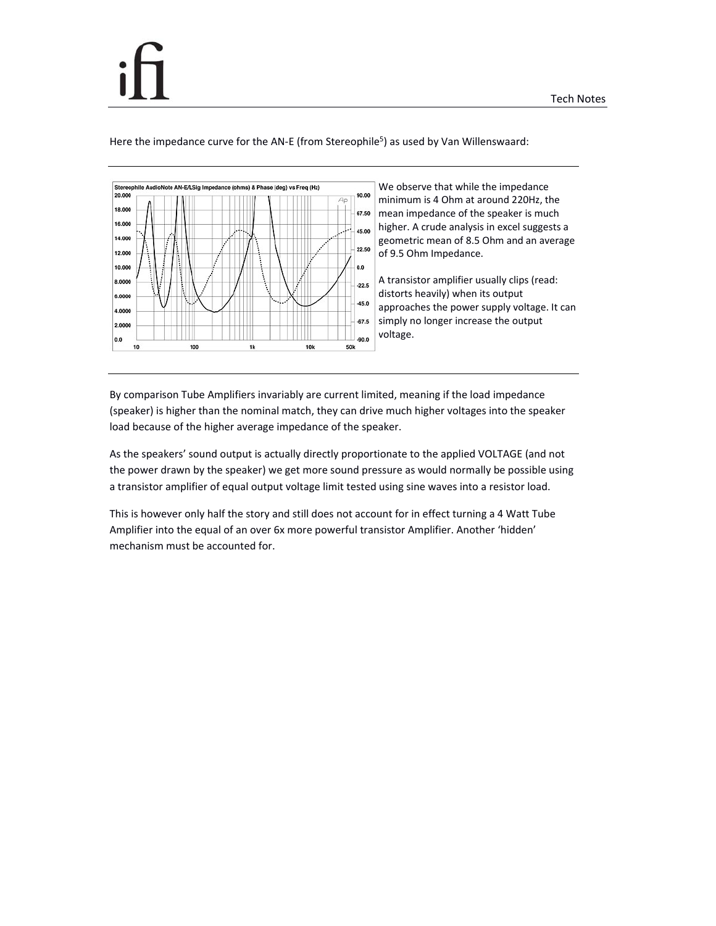Here the impedance curve for the AN-E (from Stereophile<sup>5</sup>) as used by Van Willenswaard:



We observe that while the impedance minimum is 4 Ohm at around 220Hz, the mean impedance of the speaker is much higher. A crude analysis in excel suggests a geometric mean of 8.5 Ohm and an average of 9.5 Ohm Impedance.

A transistor amplifier usually clips (read: distorts heavily) when its output approaches the power supply voltage. It can simply no longer increase the output voltage.

By comparison Tube Amplifiers invariably are current limited, meaning if the load impedance (speaker) is higher than the nominal match, they can drive much higher voltages into the speaker load because of the higher average impedance of the speaker.

As the speakers' sound output is actually directly proportionate to the applied VOLTAGE (and not the power drawn by the speaker) we get more sound pressure as would normally be possible using a transistor amplifier of equal output voltage limit tested using sine waves into a resistor load.

This is however only half the story and still does not account for in effect turning a 4 Watt Tube Amplifier into the equal of an over 6x more powerful transistor Amplifier. Another 'hidden' mechanism must be accounted for.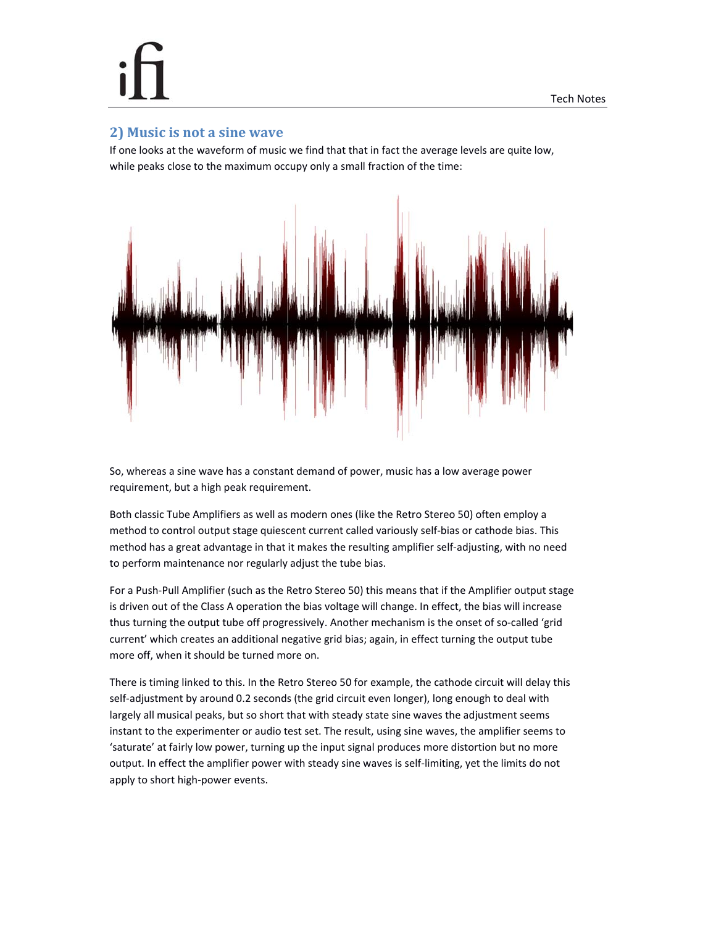# **2) Music is not a sine wave**

If one looks at the waveform of music we find that that in fact the average levels are quite low, while peaks close to the maximum occupy only a small fraction of the time:



So, whereas a sine wave has a constant demand of power, music has a low average power requirement, but a high peak requirement.

Both classic Tube Amplifiers as well as modern ones (like the Retro Stereo 50) often employ a method to control output stage quiescent current called variously self‐bias or cathode bias. This method has a great advantage in that it makes the resulting amplifier self‐adjusting, with no need to perform maintenance nor regularly adjust the tube bias.

For a Push-Pull Amplifier (such as the Retro Stereo 50) this means that if the Amplifier output stage is driven out of the Class A operation the bias voltage will change. In effect, the bias will increase thus turning the output tube off progressively. Another mechanism is the onset of so-called 'grid current' which creates an additional negative grid bias; again, in effect turning the output tube more off, when it should be turned more on.

There is timing linked to this. In the Retro Stereo 50 for example, the cathode circuit will delay this self-adjustment by around 0.2 seconds (the grid circuit even longer), long enough to deal with largely all musical peaks, but so short that with steady state sine waves the adjustment seems instant to the experimenter or audio test set. The result, using sine waves, the amplifier seems to 'saturate' at fairly low power, turning up the input signal produces more distortion but no more output. In effect the amplifier power with steady sine waves is self-limiting, yet the limits do not apply to short high‐power events.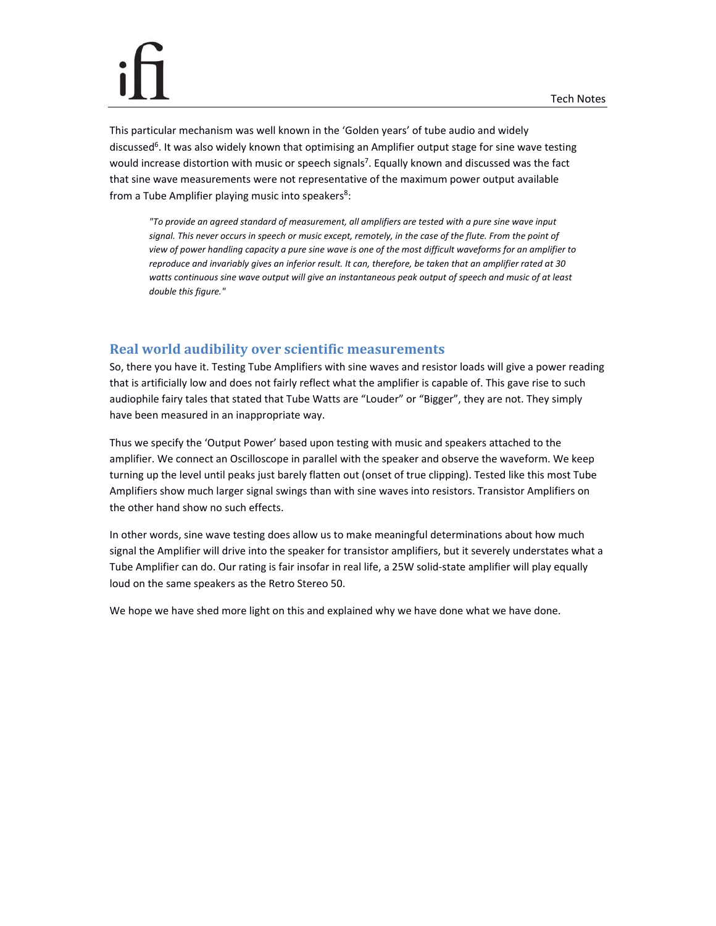This particular mechanism was well known in the 'Golden years' of tube audio and widely discussed<sup>6</sup>. It was also widely known that optimising an Amplifier output stage for sine wave testing would increase distortion with music or speech signals<sup>7</sup>. Equally known and discussed was the fact that sine wave measurements were not representative of the maximum power output available from a Tube Amplifier playing music into speakers $8$ :

*"To provide an agreed standard of measurement, all amplifiers are tested with a pure sine wave input* signal. This never occurs in speech or music except, remotely, in the case of the flute. From the point of view of power handling capacity a pure sine wave is one of the most difficult waveforms for an amplifier to reproduce and invariably gives an inferior result. It can, therefore, be taken that an amplifier rated at 30 watts continuous sine wave output will give an instantaneous peak output of speech and music of at least *double this figure."*

# **Real world audibility over scientific measurements**

So, there you have it. Testing Tube Amplifiers with sine waves and resistor loads will give a power reading that is artificially low and does not fairly reflect what the amplifier is capable of. This gave rise to such audiophile fairy tales that stated that Tube Watts are "Louder" or "Bigger", they are not. They simply have been measured in an inappropriate way.

Thus we specify the 'Output Power' based upon testing with music and speakers attached to the amplifier. We connect an Oscilloscope in parallel with the speaker and observe the waveform. We keep turning up the level until peaks just barely flatten out (onset of true clipping). Tested like this most Tube Amplifiers show much larger signal swings than with sine waves into resistors. Transistor Amplifiers on the other hand show no such effects.

In other words, sine wave testing does allow us to make meaningful determinations about how much signal the Amplifier will drive into the speaker for transistor amplifiers, but it severely understates what a Tube Amplifier can do. Our rating is fair insofar in real life, a 25W solid‐state amplifier will play equally loud on the same speakers as the Retro Stereo 50.

We hope we have shed more light on this and explained why we have done what we have done.